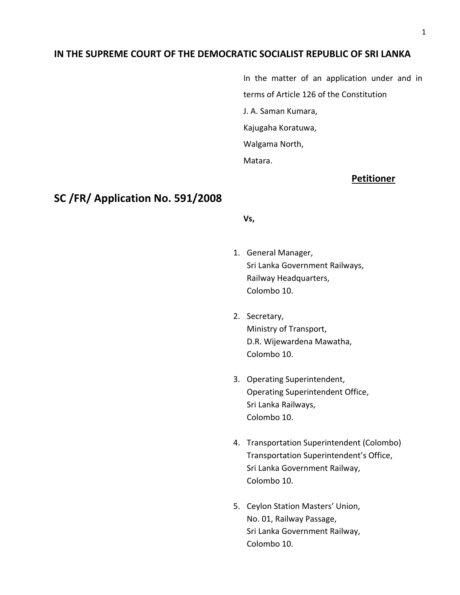### **IN THE SUPREME COURT OF THE DEMOCRATIC SOCIALIST REPUBLIC OF SRI LANKA**

In the matter of an application under and in terms of Article 126 of the Constitution J. A. Saman Kumara, Kajugaha Koratuwa, Walgama North, Matara.

## **Petitioner**

# **SC /FR/ Application No. 591/2008**

#### **Vs,**

- 1. General Manager, Sri Lanka Government Railways, Railway Headquarters, Colombo 10.
- 2. Secretary, Ministry of Transport, D.R. Wijewardena Mawatha, Colombo 10.
- 3. Operating Superintendent, Operating Superintendent Office, Sri Lanka Railways, Colombo 10.
- 4. Transportation Superintendent (Colombo) Transportation Superintendent's Office, Sri Lanka Government Railway, Colombo 10.
- 5. Ceylon Station Masters' Union, No. 01, Railway Passage, Sri Lanka Government Railway, Colombo 10.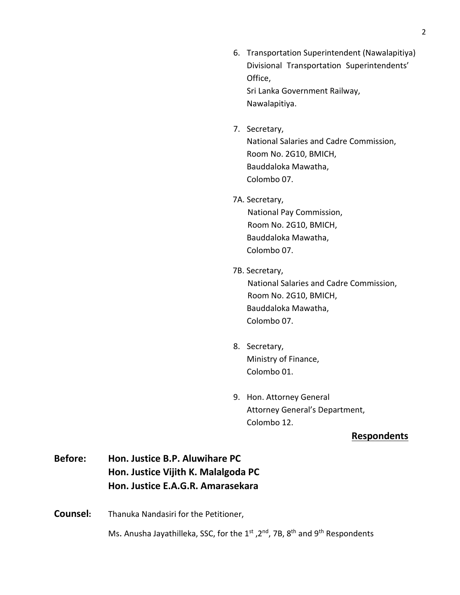6. Transportation Superintendent (Nawalapitiya) Divisional Transportation Superintendents' Office, Sri Lanka Government Railway, Nawalapitiya.

7. Secretary, National Salaries and Cadre Commission, Room No. 2G10, BMICH, Bauddaloka Mawatha,

Colombo 07.

7A. Secretary,

 National Pay Commission, Room No. 2G10, BMICH, Bauddaloka Mawatha, Colombo 07.

7B. Secretary,

 National Salaries and Cadre Commission, Room No. 2G10, BMICH, Bauddaloka Mawatha, Colombo 07.

- 8. Secretary, Ministry of Finance, Colombo 01.
- 9. Hon. Attorney General Attorney General's Department, Colombo 12.

### **Respondents**

- **Before: Hon. Justice B.P. Aluwihare PC Hon. Justice Vijith K. Malalgoda PC Hon. Justice E.A.G.R. Amarasekara**
- **Counsel:** Thanuka Nandasiri for the Petitioner,

Ms. Anusha Jayathilleka, SSC, for the 1<sup>st</sup>, 2<sup>nd</sup>, 7B, 8<sup>th</sup> and 9<sup>th</sup> Respondents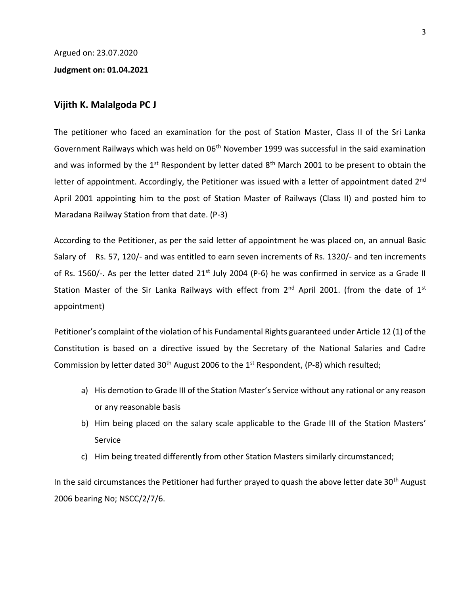Argued on: 23.07.2020

#### **Judgment on: 01.04.2021**

### **Vijith K. Malalgoda PC J**

The petitioner who faced an examination for the post of Station Master, Class II of the Sri Lanka Government Railways which was held on 06<sup>th</sup> November 1999 was successful in the said examination and was informed by the  $1<sup>st</sup>$  Respondent by letter dated  $8<sup>th</sup>$  March 2001 to be present to obtain the letter of appointment. Accordingly, the Petitioner was issued with a letter of appointment dated 2<sup>nd</sup> April 2001 appointing him to the post of Station Master of Railways (Class II) and posted him to Maradana Railway Station from that date. (P-3)

According to the Petitioner, as per the said letter of appointment he was placed on, an annual Basic Salary of Rs. 57, 120/- and was entitled to earn seven increments of Rs. 1320/- and ten increments of Rs. 1560/-. As per the letter dated  $21^{st}$  July 2004 (P-6) he was confirmed in service as a Grade II Station Master of the Sir Lanka Railways with effect from  $2^{nd}$  April 2001. (from the date of  $1^{st}$ appointment)

Petitioner's complaint of the violation of his Fundamental Rights guaranteed under Article 12 (1) of the Constitution is based on a directive issued by the Secretary of the National Salaries and Cadre Commission by letter dated 30<sup>th</sup> August 2006 to the 1<sup>st</sup> Respondent, (P-8) which resulted;

- a) His demotion to Grade III of the Station Master's Service without any rational or any reason or any reasonable basis
- b) Him being placed on the salary scale applicable to the Grade III of the Station Masters' Service
- c) Him being treated differently from other Station Masters similarly circumstanced;

In the said circumstances the Petitioner had further prayed to quash the above letter date 30<sup>th</sup> August 2006 bearing No; NSCC/2/7/6.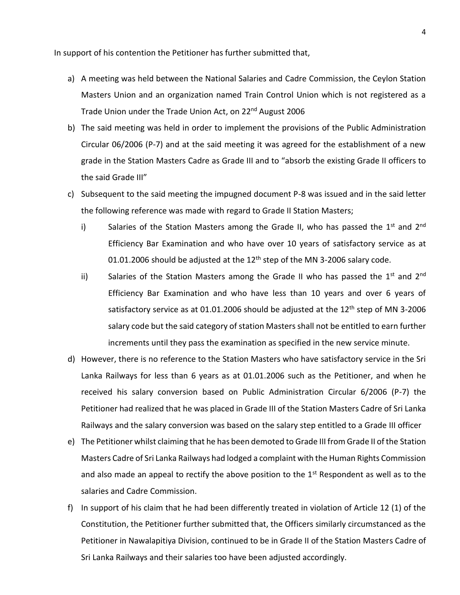In support of his contention the Petitioner has further submitted that,

- a) A meeting was held between the National Salaries and Cadre Commission, the Ceylon Station Masters Union and an organization named Train Control Union which is not registered as a Trade Union under the Trade Union Act, on 22<sup>nd</sup> August 2006
- b) The said meeting was held in order to implement the provisions of the Public Administration Circular 06/2006 (P-7) and at the said meeting it was agreed for the establishment of a new grade in the Station Masters Cadre as Grade III and to "absorb the existing Grade II officers to the said Grade III"
- c) Subsequent to the said meeting the impugned document P-8 was issued and in the said letter the following reference was made with regard to Grade II Station Masters;
	- i) Salaries of the Station Masters among the Grade II, who has passed the  $1^{st}$  and  $2^{nd}$ Efficiency Bar Examination and who have over 10 years of satisfactory service as at 01.01.2006 should be adjusted at the  $12<sup>th</sup>$  step of the MN 3-2006 salary code.
	- ii) Salaries of the Station Masters among the Grade II who has passed the  $1^{st}$  and  $2^{nd}$ Efficiency Bar Examination and who have less than 10 years and over 6 years of satisfactory service as at 01.01.2006 should be adjusted at the  $12<sup>th</sup>$  step of MN 3-2006 salary code but the said category of station Masters shall not be entitled to earn further increments until they pass the examination as specified in the new service minute.
- d) However, there is no reference to the Station Masters who have satisfactory service in the Sri Lanka Railways for less than 6 years as at 01.01.2006 such as the Petitioner, and when he received his salary conversion based on Public Administration Circular 6/2006 (P-7) the Petitioner had realized that he was placed in Grade III of the Station Masters Cadre of Sri Lanka Railways and the salary conversion was based on the salary step entitled to a Grade III officer
- e) The Petitioner whilst claiming that he has been demoted to Grade III from Grade II of the Station Masters Cadre of Sri Lanka Railways had lodged a complaint with the Human Rights Commission and also made an appeal to rectify the above position to the  $1<sup>st</sup>$  Respondent as well as to the salaries and Cadre Commission.
- f) In support of his claim that he had been differently treated in violation of Article 12 (1) of the Constitution, the Petitioner further submitted that, the Officers similarly circumstanced as the Petitioner in Nawalapitiya Division, continued to be in Grade II of the Station Masters Cadre of Sri Lanka Railways and their salaries too have been adjusted accordingly.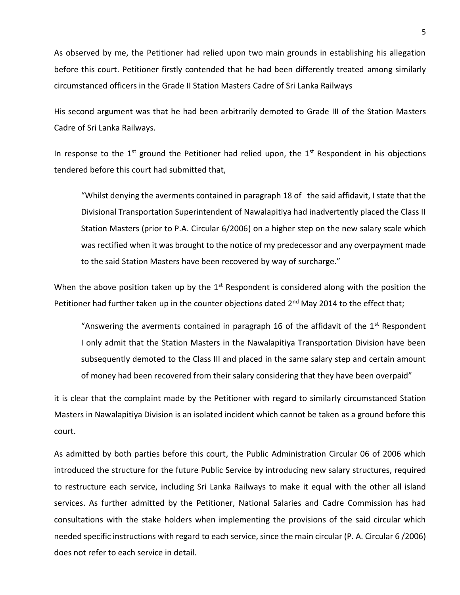As observed by me, the Petitioner had relied upon two main grounds in establishing his allegation before this court. Petitioner firstly contended that he had been differently treated among similarly circumstanced officers in the Grade II Station Masters Cadre of Sri Lanka Railways

His second argument was that he had been arbitrarily demoted to Grade III of the Station Masters Cadre of Sri Lanka Railways.

In response to the 1<sup>st</sup> ground the Petitioner had relied upon, the 1<sup>st</sup> Respondent in his objections tendered before this court had submitted that,

"Whilst denying the averments contained in paragraph 18 of the said affidavit, I state that the Divisional Transportation Superintendent of Nawalapitiya had inadvertently placed the Class II Station Masters (prior to P.A. Circular 6/2006) on a higher step on the new salary scale which was rectified when it was brought to the notice of my predecessor and any overpayment made to the said Station Masters have been recovered by way of surcharge."

When the above position taken up by the 1<sup>st</sup> Respondent is considered along with the position the Petitioner had further taken up in the counter objections dated  $2<sup>nd</sup>$  May 2014 to the effect that;

"Answering the averments contained in paragraph 16 of the affidavit of the  $1<sup>st</sup>$  Respondent I only admit that the Station Masters in the Nawalapitiya Transportation Division have been subsequently demoted to the Class III and placed in the same salary step and certain amount of money had been recovered from their salary considering that they have been overpaid"

it is clear that the complaint made by the Petitioner with regard to similarly circumstanced Station Masters in Nawalapitiya Division is an isolated incident which cannot be taken as a ground before this court.

As admitted by both parties before this court, the Public Administration Circular 06 of 2006 which introduced the structure for the future Public Service by introducing new salary structures, required to restructure each service, including Sri Lanka Railways to make it equal with the other all island services. As further admitted by the Petitioner, National Salaries and Cadre Commission has had consultations with the stake holders when implementing the provisions of the said circular which needed specific instructions with regard to each service, since the main circular (P. A. Circular 6 /2006) does not refer to each service in detail.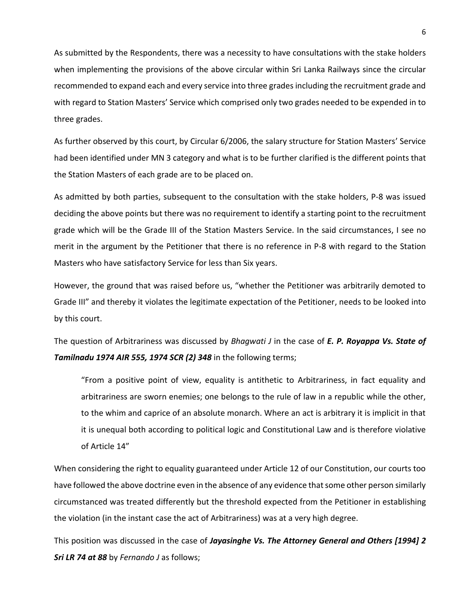As submitted by the Respondents, there was a necessity to have consultations with the stake holders when implementing the provisions of the above circular within Sri Lanka Railways since the circular recommended to expand each and every service into three grades including the recruitment grade and with regard to Station Masters' Service which comprised only two grades needed to be expended in to three grades.

As further observed by this court, by Circular 6/2006, the salary structure for Station Masters' Service had been identified under MN 3 category and what is to be further clarified is the different points that the Station Masters of each grade are to be placed on.

As admitted by both parties, subsequent to the consultation with the stake holders, P-8 was issued deciding the above points but there was no requirement to identify a starting point to the recruitment grade which will be the Grade III of the Station Masters Service. In the said circumstances, I see no merit in the argument by the Petitioner that there is no reference in P-8 with regard to the Station Masters who have satisfactory Service for less than Six years.

However, the ground that was raised before us, "whether the Petitioner was arbitrarily demoted to Grade III" and thereby it violates the legitimate expectation of the Petitioner, needs to be looked into by this court.

The question of Arbitrariness was discussed by *Bhagwati J* in the case of *E. P. Royappa Vs. State of Tamilnadu 1974 AIR 555, 1974 SCR (2) 348* in the following terms;

"From a positive point of view, equality is antithetic to Arbitrariness, in fact equality and arbitrariness are sworn enemies; one belongs to the rule of law in a republic while the other, to the whim and caprice of an absolute monarch. Where an act is arbitrary it is implicit in that it is unequal both according to political logic and Constitutional Law and is therefore violative of Article 14"

When considering the right to equality guaranteed under Article 12 of our Constitution, our courts too have followed the above doctrine even in the absence of any evidence that some other person similarly circumstanced was treated differently but the threshold expected from the Petitioner in establishing the violation (in the instant case the act of Arbitrariness) was at a very high degree.

This position was discussed in the case of *Jayasinghe Vs. The Attorney General and Others [1994] 2 Sri LR 74 at 88* by *Fernando J* as follows;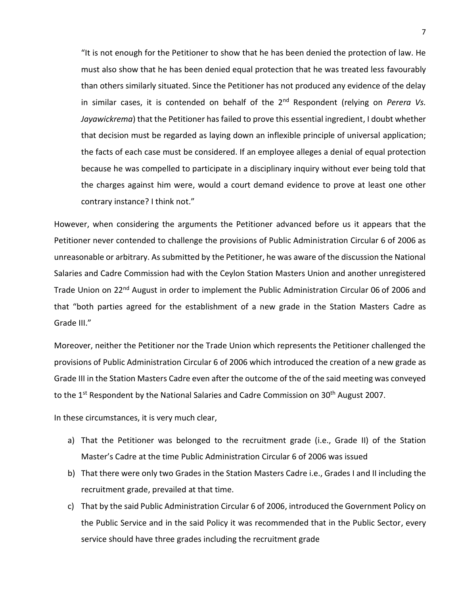"It is not enough for the Petitioner to show that he has been denied the protection of law. He must also show that he has been denied equal protection that he was treated less favourably than others similarly situated. Since the Petitioner has not produced any evidence of the delay in similar cases, it is contended on behalf of the 2<sup>nd</sup> Respondent (relying on *Perera Vs. Jayawickrema*) that the Petitioner has failed to prove this essential ingredient, I doubt whether that decision must be regarded as laying down an inflexible principle of universal application; the facts of each case must be considered. If an employee alleges a denial of equal protection because he was compelled to participate in a disciplinary inquiry without ever being told that the charges against him were, would a court demand evidence to prove at least one other contrary instance? I think not."

However, when considering the arguments the Petitioner advanced before us it appears that the Petitioner never contended to challenge the provisions of Public Administration Circular 6 of 2006 as unreasonable or arbitrary. As submitted by the Petitioner, he was aware of the discussion the National Salaries and Cadre Commission had with the Ceylon Station Masters Union and another unregistered Trade Union on 22<sup>nd</sup> August in order to implement the Public Administration Circular 06 of 2006 and that "both parties agreed for the establishment of a new grade in the Station Masters Cadre as Grade III."

Moreover, neither the Petitioner nor the Trade Union which represents the Petitioner challenged the provisions of Public Administration Circular 6 of 2006 which introduced the creation of a new grade as Grade III in the Station Masters Cadre even after the outcome of the of the said meeting was conveyed to the  $1^{st}$  Respondent by the National Salaries and Cadre Commission on  $30^{th}$  August 2007.

In these circumstances, it is very much clear,

- a) That the Petitioner was belonged to the recruitment grade (i.e., Grade II) of the Station Master's Cadre at the time Public Administration Circular 6 of 2006 was issued
- b) That there were only two Grades in the Station Masters Cadre i.e., Grades I and II including the recruitment grade, prevailed at that time.
- c) That by the said Public Administration Circular 6 of 2006, introduced the Government Policy on the Public Service and in the said Policy it was recommended that in the Public Sector, every service should have three grades including the recruitment grade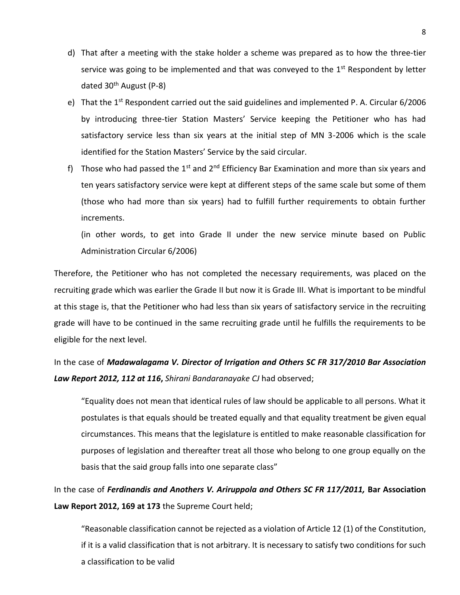- d) That after a meeting with the stake holder a scheme was prepared as to how the three-tier service was going to be implemented and that was conveyed to the  $1<sup>st</sup>$  Respondent by letter dated 30th August (P-8)
- e) That the 1<sup>st</sup> Respondent carried out the said guidelines and implemented P. A. Circular 6/2006 by introducing three-tier Station Masters' Service keeping the Petitioner who has had satisfactory service less than six years at the initial step of MN 3-2006 which is the scale identified for the Station Masters' Service by the said circular.
- f) Those who had passed the  $1^{st}$  and  $2^{nd}$  Efficiency Bar Examination and more than six years and ten years satisfactory service were kept at different steps of the same scale but some of them (those who had more than six years) had to fulfill further requirements to obtain further increments.

(in other words, to get into Grade II under the new service minute based on Public Administration Circular 6/2006)

Therefore, the Petitioner who has not completed the necessary requirements, was placed on the recruiting grade which was earlier the Grade II but now it is Grade III. What is important to be mindful at this stage is, that the Petitioner who had less than six years of satisfactory service in the recruiting grade will have to be continued in the same recruiting grade until he fulfills the requirements to be eligible for the next level.

# In the case of *Madawalagama V. Director of Irrigation and Others SC FR 317/2010 Bar Association Law Report 2012, 112 at 116***,** *Shirani Bandaranayake CJ* had observed;

"Equality does not mean that identical rules of law should be applicable to all persons. What it postulates is that equals should be treated equally and that equality treatment be given equal circumstances. This means that the legislature is entitled to make reasonable classification for purposes of legislation and thereafter treat all those who belong to one group equally on the basis that the said group falls into one separate class"

In the case of *Ferdinandis and Anothers V. Ariruppola and Others SC FR 117/2011,* **Bar Association Law Report 2012, 169 at 173** the Supreme Court held;

"Reasonable classification cannot be rejected as a violation of Article 12 (1) of the Constitution, if it is a valid classification that is not arbitrary. It is necessary to satisfy two conditions for such a classification to be valid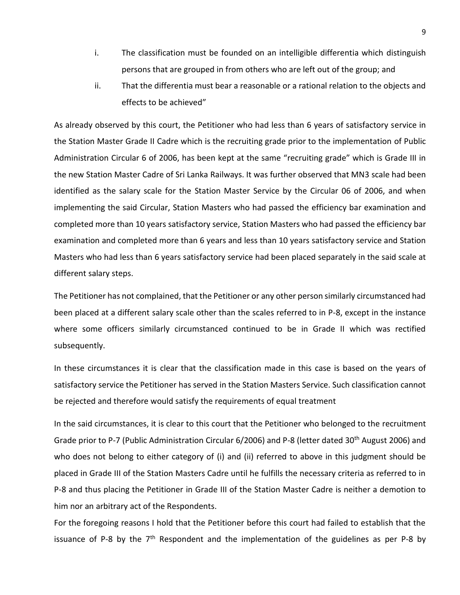- i. The classification must be founded on an intelligible differentia which distinguish persons that are grouped in from others who are left out of the group; and
- ii. That the differentia must bear a reasonable or a rational relation to the objects and effects to be achieved"

As already observed by this court, the Petitioner who had less than 6 years of satisfactory service in the Station Master Grade II Cadre which is the recruiting grade prior to the implementation of Public Administration Circular 6 of 2006, has been kept at the same "recruiting grade" which is Grade III in the new Station Master Cadre of Sri Lanka Railways. It was further observed that MN3 scale had been identified as the salary scale for the Station Master Service by the Circular 06 of 2006, and when implementing the said Circular, Station Masters who had passed the efficiency bar examination and completed more than 10 years satisfactory service, Station Masters who had passed the efficiency bar examination and completed more than 6 years and less than 10 years satisfactory service and Station Masters who had less than 6 years satisfactory service had been placed separately in the said scale at different salary steps.

The Petitioner has not complained, that the Petitioner or any other person similarly circumstanced had been placed at a different salary scale other than the scales referred to in P-8, except in the instance where some officers similarly circumstanced continued to be in Grade II which was rectified subsequently.

In these circumstances it is clear that the classification made in this case is based on the years of satisfactory service the Petitioner has served in the Station Masters Service. Such classification cannot be rejected and therefore would satisfy the requirements of equal treatment

In the said circumstances, it is clear to this court that the Petitioner who belonged to the recruitment Grade prior to P-7 (Public Administration Circular 6/2006) and P-8 (letter dated 30th August 2006) and who does not belong to either category of (i) and (ii) referred to above in this judgment should be placed in Grade III of the Station Masters Cadre until he fulfills the necessary criteria as referred to in P-8 and thus placing the Petitioner in Grade III of the Station Master Cadre is neither a demotion to him nor an arbitrary act of the Respondents.

For the foregoing reasons I hold that the Petitioner before this court had failed to establish that the issuance of P-8 by the  $7<sup>th</sup>$  Respondent and the implementation of the guidelines as per P-8 by